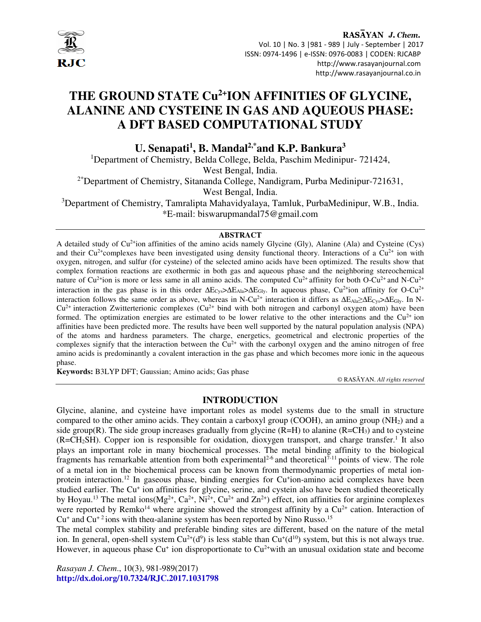

RASAYAN J. Chem. Vol. 10 | No. 3 |981 - 989 | July - September | 2017 ISSN: 0974-1496 | e-ISSN: 0976-0083 | CODEN: RJCABP http://www.rasayanjournal.com http://www.rasayanjournal.co.in

# **THE GROUND STATE Cu2+ION AFFINITIES OF GLYCINE, ALANINE AND CYSTEINE IN GAS AND AQUEOUS PHASE: A DFT BASED COMPUTATIONAL STUDY**

**U. Senapati<sup>1</sup> , B. Mandal2,\*and K.P. Bankura<sup>3</sup>**

<sup>1</sup>Department of Chemistry, Belda College, Belda, Paschim Medinipur- 721424,

West Bengal, India.

2\*Department of Chemistry, Sitananda College, Nandigram, Purba Medinipur-721631,

West Bengal, India.

<sup>3</sup>Department of Chemistry, Tamralipta Mahavidyalaya, Tamluk, PurbaMedinipur, W.B., India. \*E-mail: biswarupmandal75@gmail.com

#### **ABSTRACT**

A detailed study of Cu2+ion affinities of the amino acids namely Glycine (Gly), Alanine (Ala) and Cysteine (Cys) and their  $Cu^{2+}$ complexes have been investigated using density functional theory. Interactions of a  $Cu^{2+}$  ion with oxygen, nitrogen, and sulfur (for cysteine) of the selected amino acids have been optimized. The results show that complex formation reactions are exothermic in both gas and aqueous phase and the neighboring stereochemical nature of  $Cu^{2+}$ ion is more or less same in all amino acids. The computed  $Cu^{2+}$  affinity for both O-Cu<sup>2+</sup> and N-Cu<sup>2+</sup> interaction in the gas phase is in this order  $\Delta E_{Cys}$ > $\Delta E_{Ala}$  > $\Delta E_{Glv}$ . In aqueous phase,  $Cu^{2+}$ ion affinity for O-Cu<sup>2+</sup> interaction follows the same order as above, whereas in N-Cu<sup>2+</sup> interaction it differs as ∆E<sub>Ala</sub>≥∆E<sub>Cys</sub>>∆E<sub>Gly</sub>. In N- $Cu^{2+}$  interaction Zwitterterionic complexes  $Cu^{2+}$  bind with both nitrogen and carbonyl oxygen atom) have been formed. The optimization energies are estimated to be lower relative to the other interactions and the  $Cu^{2+}$  ion affinities have been predicted more. The results have been well supported by the natural population analysis (NPA) of the atoms and hardness parameters. The charge, energetics, geometrical and electronic properties of the complexes signify that the interaction between the  $Cu<sup>2+</sup>$  with the carbonyl oxygen and the amino nitrogen of free amino acids is predominantly a covalent interaction in the gas phase and which becomes more ionic in the aqueous phase.

**Keywords:** B3LYP DFT; Gaussian; Amino acids; Gas phase

© RASĀYAN. *All rights reserved*

#### **INTRODUCTION**

Glycine, alanine, and cysteine have important roles as model systems due to the small in structure compared to the other amino acids. They contain a carboxyl group (COOH), an amino group  $(NH<sub>2</sub>)$  and a side group(R). The side group increases gradually from glycine (R=H) to alanine ( $R=CH<sub>3</sub>$ ) and to cysteine  $(R=CH<sub>2</sub>SH)$ . Copper ion is responsible for oxidation, dioxygen transport, and charge transfer.<sup>1</sup> It also plays an important role in many biochemical processes. The metal binding affinity to the biological fragments has remarkable attention from both experimental<sup>2-6</sup> and theoretical<sup>7-11</sup> points of view. The role of a metal ion in the biochemical process can be known from thermodynamic properties of metal ionprotein interaction.<sup>12</sup> In gaseous phase, binding energies for Cu<sup>+</sup>ion-amino acid complexes have been studied earlier. The Cu<sup>+</sup> ion affinities for glycine, serine, and cystein also have been studied theoretically by Hoyau.<sup>13</sup> The metal ions(Mg<sup>2+</sup>, Ca<sup>2+</sup>, Ni<sup>2+</sup>, Cu<sup>2+</sup> and Zn<sup>2+</sup>) effect, ion affinities for arginine complexes were reported by Remko<sup>14</sup> where arginine showed the strongest affinity by a  $Cu^{2+}$  cation. Interaction of  $Cu<sup>+</sup>$  and  $Cu<sup>+</sup>$  ions with theα-alanine system has been reported by Nino Russo.<sup>15</sup>

The metal complex stability and preferable binding sites are different, based on the nature of the metal ion. In general, open-shell system  $Cu^{2+}(d^9)$  is less stable than  $Cu^+(d^{10})$  system, but this is not always true. However, in aqueous phase  $Cu<sup>+</sup>$  ion disproportionate to  $Cu<sup>2+</sup>$  with an unusual oxidation state and become

*Rasayan J. Chem*., 10(3), 981-989(2017) **http://dx.doi.org/10.7324/RJC.2017.1031798**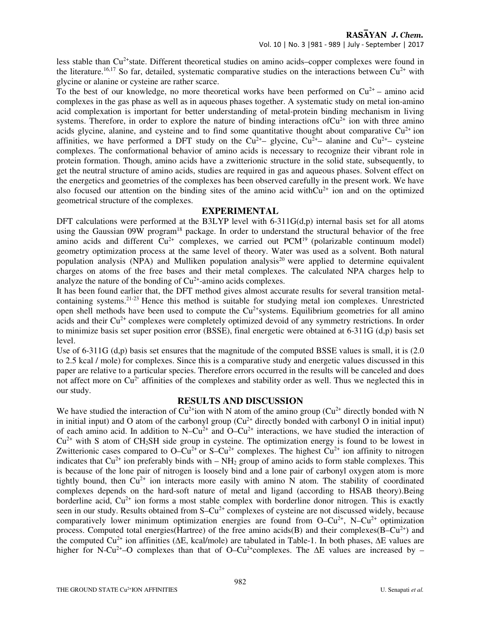less stable than Cu<sup>2+</sup>state. Different theoretical studies on amino acids–copper complexes were found in the literature.<sup>16,17</sup> So far, detailed, systematic comparative studies on the interactions between  $Cu^{2+}$  with glycine or alanine or cysteine are rather scarce.

To the best of our knowledge, no more theoretical works have been performed on  $Cu^{2+}$  – amino acid complexes in the gas phase as well as in aqueous phases together. A systematic study on metal ion-amino acid complexation is important for better understanding of metal-protein binding mechanism in living systems. Therefore, in order to explore the nature of binding interactions of  $Cu^{2+}$  ion with three amino acids glycine, alanine, and cysteine and to find some quantitative thought about comparative  $Cu^{2+}$  ion affinities, we have performed a DFT study on the  $Cu^{2+}$ – glycine,  $Cu^{2+}$ – alanine and  $Cu^{2+}$ – cysteine complexes. The conformational behavior of amino acids is necessary to recognize their vibrant role in protein formation. Though, amino acids have a zwitterionic structure in the solid state, subsequently, to get the neutral structure of amino acids, studies are required in gas and aqueous phases. Solvent effect on the energetics and geometries of the complexes has been observed carefully in the present work. We have also focused our attention on the binding sites of the amino acid with $Cu^{2+}$  ion and on the optimized geometrical structure of the complexes.

#### **EXPERIMENTAL**

DFT calculations were performed at the B3LYP level with  $6-311G(d,p)$  internal basis set for all atoms using the Gaussian 09W program<sup>18</sup> package. In order to understand the structural behavior of the free amino acids and different  $Cu^{2+}$  complexes, we carried out  $PCM<sup>19</sup>$  (polarizable continuum model) geometry optimization process at the same level of theory. Water was used as a solvent. Both natural population analysis (NPA) and Mulliken population analysis<sup>20</sup> were applied to determine equivalent charges on atoms of the free bases and their metal complexes. The calculated NPA charges help to analyze the nature of the bonding of  $Cu<sup>2+</sup>$ -amino acids complexes.

It has been found earlier that, the DFT method gives almost accurate results for several transition metalcontaining systems.21-23 Hence this method is suitable for studying metal ion complexes. Unrestricted open shell methods have been used to compute the  $Cu<sup>2+</sup>$  systems. Equilibrium geometries for all amino acids and their  $Cu^{2+}$  complexes were completely optimized devoid of any symmetry restrictions. In order to minimize basis set super position error (BSSE), final energetic were obtained at 6-311G (d,p) basis set level.

Use of 6-311G (d,p) basis set ensures that the magnitude of the computed BSSE values is small, it is (2.0) to 2.5 kcal / mole) for complexes. Since this is a comparative study and energetic values discussed in this paper are relative to a particular species. Therefore errors occurred in the results will be canceled and does not affect more on  $Cu^{2+}$  affinities of the complexes and stability order as well. Thus we neglected this in our study.

#### **RESULTS AND DISCUSSION**

We have studied the interaction of  $Cu^{2+}$ ion with N atom of the amino group ( $Cu^{2+}$  directly bonded with N in initial input) and O atom of the carbonyl group  $(Cu^{2+}$  directly bonded with carbonyl O in initial input) of each amino acid. In addition to  $N-Cu^{2+}$  and  $O-Cu^{2+}$  interactions, we have studied the interaction of  $Cu<sup>2+</sup>$  with S atom of CH<sub>2</sub>SH side group in cysteine. The optimization energy is found to be lowest in Zwitterionic cases compared to  $O-Cu^{2+}$  or  $S-Cu^{2+}$  complexes. The highest  $Cu^{2+}$  ion affinity to nitrogen indicates that  $Cu^{2+}$  ion preferably binds with –  $NH_2$  group of amino acids to form stable complexes. This is because of the lone pair of nitrogen is loosely bind and a lone pair of carbonyl oxygen atom is more tightly bound, then  $Cu^{2+}$  ion interacts more easily with amino N atom. The stability of coordinated complexes depends on the hard-soft nature of metal and ligand (according to HSAB theory).Being borderline acid,  $Cu^{2+}$  ion forms a most stable complex with borderline donor nitrogen. This is exactly seen in our study. Results obtained from S–Cu<sup>2+</sup> complexes of cysteine are not discussed widely, because comparatively lower minimum optimization energies are found from  $O-Cu^{2+}$ , N–Cu<sup>2+</sup> optimization process. Computed total energies(Hartree) of the free amino acids(B) and their complexes( $B-Cu^{2+}$ ) and the computed Cu<sup>2+</sup> ion affinities (ΔE, kcal/mole) are tabulated in Table-1. In both phases, ΔE values are higher for N-Cu<sup>2+</sup>–O complexes than that of O–Cu<sup>2+</sup>complexes. The  $\Delta E$  values are increased by –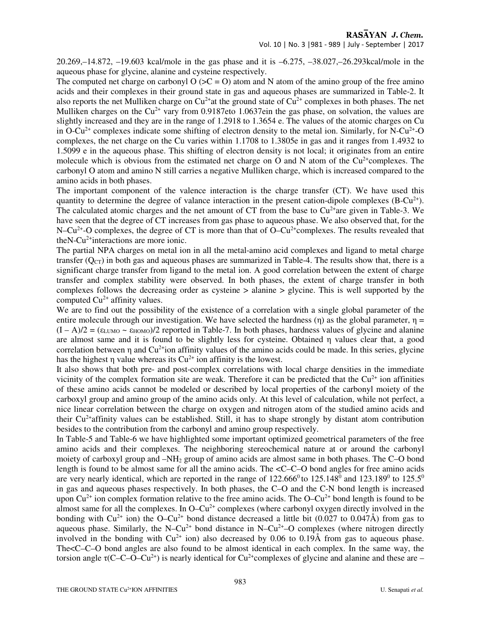### RASAYAN J. Chem.

#### Vol. 10 | No. 3 |981 - 989 | July - September | 2017

20.269,–14.872, –19.603 kcal/mole in the gas phase and it is –6.275, –38.027,–26.293kcal/mole in the aqueous phase for glycine, alanine and cysteine respectively.

The computed net charge on carbonyl  $O (BC = O)$  atom and N atom of the amino group of the free amino acids and their complexes in their ground state in gas and aqueous phases are summarized in Table-2. It also reports the net Mulliken charge on  $Cu^{2+}$  at the ground state of  $Cu^{2+}$  complexes in both phases. The net Mulliken charges on the  $Cu^{2+}$  vary from 0.9187eto 1.0637ein the gas phase, on solvation, the values are slightly increased and they are in the range of 1.2918 to 1.3654 e. The values of the atomic charges on Cu in O-Cu<sup>2+</sup> complexes indicate some shifting of electron density to the metal ion. Similarly, for N-Cu<sup>2+</sup>-O complexes, the net charge on the Cu varies within 1.1708 to 1.3805e in gas and it ranges from 1.4932 to 1.5099 e in the aqueous phase. This shifting of electron density is not local; it originates from an entire molecule which is obvious from the estimated net charge on O and N atom of the  $Cu<sup>2+</sup>$ complexes. The carbonyl O atom and amino N still carries a negative Mulliken charge, which is increased compared to the amino acids in both phases.

The important component of the valence interaction is the charge transfer (CT). We have used this quantity to determine the degree of valance interaction in the present cation-dipole complexes (B-Cu<sup>2+</sup>). The calculated atomic charges and the net amount of CT from the base to  $Cu^{2+}$ are given in Table-3. We have seen that the degree of CT increases from gas phase to aqueous phase. We also observed that, for the N–Cu<sup>2+</sup>-O complexes, the degree of CT is more than that of O–Cu<sup>2+</sup>complexes. The results revealed that the N-Cu<sup>2+</sup> interactions are more ionic.

The partial NPA charges on metal ion in all the metal-amino acid complexes and ligand to metal charge transfer  $(Q<sub>CT</sub>)$  in both gas and aqueous phases are summarized in Table-4. The results show that, there is a significant charge transfer from ligand to the metal ion. A good correlation between the extent of charge transfer and complex stability were observed. In both phases, the extent of charge transfer in both complexes follows the decreasing order as cysteine > alanine > glycine. This is well supported by the computed  $Cu^{2+}$  affinity values.

We are to find out the possibility of the existence of a correlation with a single global parameter of the entire molecule through our investigation. We have selected the hardness (η) as the global parameter,  $\eta$  =  $(I - A)/2 = (\epsilon_{LUMO} \sim \epsilon_{HOMO})/2$  reported in Table-7. In both phases, hardness values of glycine and alanine are almost same and it is found to be slightly less for cysteine. Obtained η values clear that, a good correlation between  $\eta$  and  $Cu^{2+}$ ion affinity values of the amino acids could be made. In this series, glycine has the highest  $\eta$  value whereas its  $Cu^{2+}$  ion affinity is the lowest.

It also shows that both pre- and post-complex correlations with local charge densities in the immediate vicinity of the complex formation site are weak. Therefore it can be predicted that the  $Cu<sup>2+</sup>$  ion affinities of these amino acids cannot be modeled or described by local properties of the carbonyl moiety of the carboxyl group and amino group of the amino acids only. At this level of calculation, while not perfect, a nice linear correlation between the charge on oxygen and nitrogen atom of the studied amino acids and their  $Cu^{2+}$ affinity values can be established. Still, it has to shape strongly by distant atom contribution besides to the contribution from the carbonyl and amino group respectively.

In Table-5 and Table-6 we have highlighted some important optimized geometrical parameters of the free amino acids and their complexes. The neighboring stereochemical nature at or around the carbonyl moiety of carboxyl group and –NH2 group of amino acids are almost same in both phases. The C–O bond length is found to be almost same for all the amino acids. The <C–C–O bond angles for free amino acids are very nearly identical, which are reported in the range of  $122.666^{\circ}$  to  $125.148^{\circ}$  and  $123.189^{\circ}$  to  $125.5^{\circ}$ in gas and aqueous phases respectively. In both phases, the C–O and the C-N bond length is increased upon  $Cu^{2+}$  ion complex formation relative to the free amino acids. The O– $Cu^{2+}$  bond length is found to be almost same for all the complexes. In O–Cu<sup>2+</sup> complexes (where carbonyl oxygen directly involved in the bonding with  $Cu^{2+}$  ion) the O–Cu<sup>2+</sup> bond distance decreased a little bit (0.027 to 0.047Å) from gas to aqueous phase. Similarly, the N–Cu<sup>2+</sup> bond distance in N–Cu<sup>2+</sup>–O complexes (where nitrogen directly involved in the bonding with  $Cu^{2+}$  ion) also decreased by 0.06 to 0.19 $\AA$  from gas to aqueous phase. The<C–C–O bond angles are also found to be almost identical in each complex. In the same way, the torsion angle  $\tau$ (C–C–O–Cu<sup>2+</sup>) is nearly identical for Cu<sup>2+</sup>complexes of glycine and alanine and these are –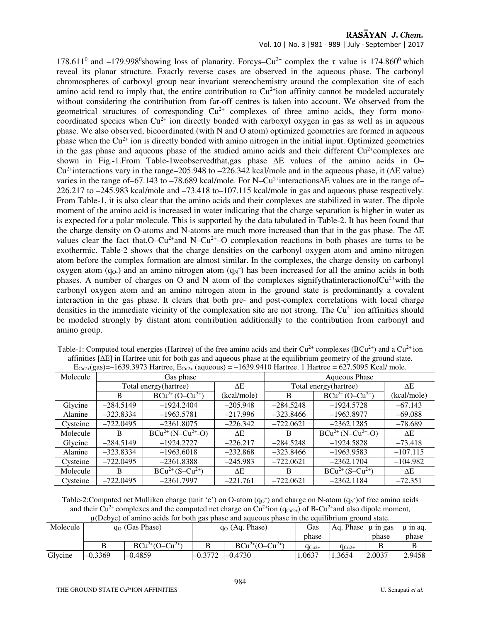#### RASAYAN J. Chem.

#### Vol. 10 | No. 3 |981 - 989 | July - September | 2017

178.611<sup>0</sup> and -179.998<sup>0</sup>showing loss of planarity. Forcys-Cu<sup>2+</sup> complex the  $\tau$  value is 174.860<sup>0</sup> which reveal its planar structure. Exactly reverse cases are observed in the aqueous phase. The carbonyl chromospheres of carboxyl group near invariant stereochemistry around the complexation site of each amino acid tend to imply that, the entire contribution to  $Cu^{2+}$ ion affinity cannot be modeled accurately without considering the contribution from far-off centres is taken into account. We observed from the geometrical structures of corresponding  $Cu^{2+}$  complexes of three amino acids, they form monocoordinated species when  $Cu^{2+}$  ion directly bonded with carboxyl oxygen in gas as well as in aqueous phase. We also observed, bicoordinated (with N and O atom) optimized geometries are formed in aqueous phase when the  $Cu^{2+}$  ion is directly bonded with amino nitrogen in the initial input. Optimized geometries in the gas phase and aqueous phase of the studied amino acids and their different  $Cu^{2+}$ complexes are shown in Fig.-1.From Table-1weobservedthat,gas phase ∆E values of the amino acids in O– Cu2+interactions vary in the range–205.948 to –226.342 kcal/mole and in the aqueous phase, it (∆E value) varies in the range of–67.143 to –78.689 kcal/mole. For N–Cu2+interactions∆E values are in the range of– 226.217 to –245.983 kcal/mole and –73.418 to–107.115 kcal/mole in gas and aqueous phase respectively. From Table-1, it is also clear that the amino acids and their complexes are stabilized in water. The dipole moment of the amino acid is increased in water indicating that the charge separation is higher in water as is expected for a polar molecule. This is supported by the data tabulated in Table-2. It has been found that the charge density on O-atoms and N-atoms are much more increased than that in the gas phase. The ∆E values clear the fact that, $O-Cu^{2+}$ and N–Cu<sup>2+</sup>–O complexation reactions in both phases are turns to be exothermic. Table-2 shows that the charge densities on the carbonyl oxygen atom and amino nitrogen atom before the complex formation are almost similar. In the complexes, the charge density on carbonyl oxygen atom  $(q_0)$  and an amino nitrogen atom  $(q_N^-)$  has been increased for all the amino acids in both phases. A number of charges on O and N atom of the complexes signifythatinteractionof $Cu^{2+}$ with the carbonyl oxygen atom and an amino nitrogen atom in the ground state is predominantly a covalent interaction in the gas phase. It clears that both pre- and post-complex correlations with local charge densities in the immediate vicinity of the complexation site are not strong. The  $Cu^{2+}$  ion affinities should be modeled strongly by distant atom contribution additionally to the contribution from carbonyl and amino group.

| $L_{\text{U2+1}}(20) = 1037.3713$ Harace, $L_{\text{U2+}}$ (aqueous) $-$ 1037.7110 Harace: 1 Harace $-$ 027.3073 Health 0.00. |              |                                  |             |               |                                  |             |  |  |  |  |
|-------------------------------------------------------------------------------------------------------------------------------|--------------|----------------------------------|-------------|---------------|----------------------------------|-------------|--|--|--|--|
| Molecule                                                                                                                      |              | Gas phase                        |             | Aqueous Phase |                                  |             |  |  |  |  |
|                                                                                                                               |              | Total energy (hartree)           | ΛE          |               | Total energy (hartree)           | ΔE          |  |  |  |  |
|                                                                                                                               | B            | $BCu^{2+}$ (O-Cu <sup>2+</sup> ) | (kcal/mole) | B             | $BCu^{2+}$ (O-Cu <sup>2+</sup> ) | (kcal/mole) |  |  |  |  |
| Glycine                                                                                                                       | $-284.5149$  | $-1924.2404$                     | $-205.948$  | $-284.5248$   | $-1924.5728$                     | $-67.143$   |  |  |  |  |
| Alanine                                                                                                                       | $-323.8334$  | $-1963.5781$                     | $-217.996$  | $-323.8466$   | $-1963.8977$                     | $-69.088$   |  |  |  |  |
| Cysteine                                                                                                                      | $-722.0495$  | $-2361.8075$                     | $-226.342$  | $-722.0621$   | $-2362.1285$                     | $-78.689$   |  |  |  |  |
| Molecule                                                                                                                      | <sub>B</sub> | $BCu^{2+}(N-Cu^{2+}-O)$          | ΛE.         | B.            | $BCu^{2+}(N-Cu^{2+}-O)$          | ΔE          |  |  |  |  |
| Glycine                                                                                                                       | $-284.5149$  | $-1924.2727$                     | $-226.217$  | $-284.5248$   | $-1924.5828$                     | $-73.418$   |  |  |  |  |
| Alanine                                                                                                                       | $-323.8334$  | $-1963.6018$                     | $-232.868$  | $-323.8466$   | $-1963.9583$                     | $-107.115$  |  |  |  |  |
| Cysteine                                                                                                                      | $-722.0495$  | $-2361.8388$                     | $-245.983$  | $-722.0621$   | $-2362.1704$                     | $-104.982$  |  |  |  |  |
| Molecule                                                                                                                      | <sub>B</sub> | $BCu^{2+} (S-Cu^{2+})$           | ΛE          | B.            | $BCu^{2+} (S-Cu^{2+})$           | ΔΕ          |  |  |  |  |
| Cysteine                                                                                                                      | $-722.0495$  | $-2361.7997$                     | $-221.761$  | $-722.0621$   | $-2362.1184$                     | $-72.351$   |  |  |  |  |

| Table-1: Computed total energies (Hartree) of the free amino acids and their $Cu^{2+}$ complexes (BCu <sup>2+</sup> ) and a $Cu^{2+}$ ion |
|-------------------------------------------------------------------------------------------------------------------------------------------|
| affinities $[\Delta E]$ in Hartree unit for both gas and aqueous phase at the equilibrium geometry of the ground state.                   |
| $E_{Cu2+}(gas) = -1639.3973$ Hartree, $E_{Cu2+}(aqueous) = -1639.9410$ Hartree. 1 Hartree = 627.5095 Kcal/ mole.                          |

Table-2: Computed net Mulliken charge (unit 'e') on O-atom  $(q_0^-)$  and charge on N-atom  $(q_N^-)$  of free amino acids and their Cu<sup>2+</sup> complexes and the computed net charge on Cu<sup>2+</sup>ion ( $q_{Cu2+}$ ) of B-Cu<sup>2+</sup>and also dipole moment, µ(Debye) of amino acids for both gas phase and aqueous phase in the equilibrium ground state.

|          | $\mu(DU)$ of all the actual for both gas phase and aqueous phase in the equilibrium ground state. |                       |                                |                                  |            |                           |        |          |  |
|----------|---------------------------------------------------------------------------------------------------|-----------------------|--------------------------------|----------------------------------|------------|---------------------------|--------|----------|--|
| Molecule | $q_0$ <sup>-</sup> (Gas Phase)                                                                    |                       | $q_0$ <sup>-</sup> (Aq. Phase) |                                  | Gas        | $ Aq. Phase  \mu in gas $ |        | u in ag. |  |
|          |                                                                                                   |                       |                                |                                  |            |                           | phase  | phase    |  |
|          |                                                                                                   | $BCu^{2+}(O-Cu^{2+})$ |                                | $BCu^{2+}$ (O-Cu <sup>2+</sup> ) | $q_{Cu2+}$ | $q_{Cu2+}$                |        |          |  |
| Glycine  | $-0.3369$                                                                                         | $-0.4859$             | $-0.3772$                      | $-0.4730$                        | 1.0637     | .3654                     | 2.0037 | 2.9458   |  |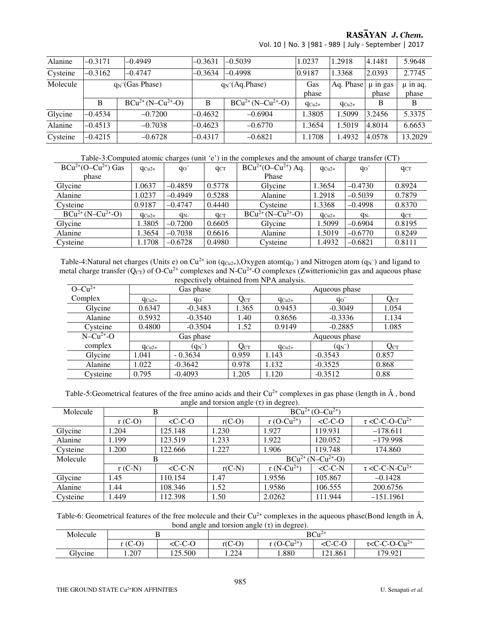RASAYAN J. Chem.

| Alanine  | $-0.3171$ | $-0.4949$                    | $-0.3631$ | $-0.5039$                    | 1.0237     | 1.2918     | 4.1481                | 5.9648                |
|----------|-----------|------------------------------|-----------|------------------------------|------------|------------|-----------------------|-----------------------|
| Cysteine | $-0.3162$ | $-0.4747$                    | $-0.3634$ | $-0.4998$                    | 0.9187     | 1.3368     | 2.0393                | 2.7745                |
| Molecule |           | $q_N$ <sup>(Gas Phase)</sup> |           | $q_N$ <sup>(</sup> Aq.Phase) |            | Aq. Phase  | $\mu$ in gas<br>phase | $\mu$ in aq.<br>phase |
|          | B         | $BCu^{2+}(N-Cu^{2+}-O)$      | В         | $BCu^{2+} (N-Cu^{2+}-O)$     | $q_{Cu2+}$ | $q_{Cu2+}$ | В                     | B                     |
| Glycine  | $-0.4534$ | $-0.7200$                    | $-0.4632$ | $-0.6904$                    | 1.3805     | 1.5099     | 3.2456                | 5.3375                |
| Alanine  | $-0.4513$ | $-0.7038$                    | $-0.4623$ | $-0.6770$                    | 1.3654     | 1.5019     | 4.8014                | 6.6653                |
| Cysteine | $-0.4215$ | $-0.6728$                    | $-0.4317$ | $-0.6821$                    | 1.1708     | 1.4932     | 4.0578                | 13.2029               |

Vol. 10 | No. 3 |981 - 989 | July - September | 2017

Table-3:Computed atomic charges (unit 'e') in the complexes and the amount of charge transfer (CT)

| $BCu^{2+}(O-Cu^{2+})$ Gas | $q_{Cu2+}$ | $q_0$ <sup>-</sup> | $q_{CT}$ | $BCu^{2+}(O-Cu^{2+})$ Aq. | $q_{Cu2+}$ | $q_0$     | $q_{CT}$ |
|---------------------------|------------|--------------------|----------|---------------------------|------------|-----------|----------|
| phase                     |            |                    |          | Phase                     |            |           |          |
| Glycine                   | .0637      | $-0.4859$          | 0.5778   | Glycine                   | 1.3654     | $-0.4730$ | 0.8924   |
| Alanine                   | .0237      | $-0.4949$          | 0.5288   | Alanine                   | .2918      | $-0.5039$ | 0.7879   |
| Cysteine                  | 0.9187     | $-0.4747$          | 0.4440   | Cysteine                  | 1.3368     | $-0.4998$ | 0.8370   |
| $BCu^{2+}(N-Cu^{2+}-O)$   | $q_{Cu2+}$ | q <sub>N-</sub>    | $q_{CT}$ | $BCu^{2+}(N-Cu^{2+}-O)$   | $q_{Cu2+}$ | $q_{N-}$  | $q_{CT}$ |
| Glycine                   | 1.3805     | $-0.7200$          | 0.6605   | Glycine                   | 1.5099     | $-0.6904$ | 0.8195   |
| Alanine                   | .3654      | $-0.7038$          | 0.6616   | Alanine                   | 1.5019     | $-0.6770$ | 0.8249   |
| Cysteine                  | 1.1708     | $-0.6728$          | 0.4980   | Cysteine                  | 1.4932     | $-0.6821$ | 0.8111   |

Table-4:Natural net charges (Units e) on Cu<sup>2+</sup> ion (q<sub>Cu2+</sub>),Oxygen atom(q<sub>O</sub><sup>-</sup>) and Nitrogen atom (q<sub>N</sub><sup>-</sup>) and ligand to metal charge transfer  $(Q_{CT})$  of O-Cu<sup>2+</sup> complexes and N-Cu<sup>2+</sup>-O complexes (Zwitterionic)in gas and aqueous phase respectively obtained from NPA analysis.

| $- - - - - -$ |            |           |          |               |           |                   |  |  |  |
|---------------|------------|-----------|----------|---------------|-----------|-------------------|--|--|--|
| $O - Cu^{2+}$ | Gas phase  |           |          | Aqueous phase |           |                   |  |  |  |
| Complex       | $q_{Cu2+}$ | $q_0^-$   | $Q_{CT}$ | $q_{Cu2+}$    | $q_0$     | $Q_{\mathrm{CT}}$ |  |  |  |
| Glycine       | 0.6347     | $-0.3483$ | 1.365    | 0.9453        | $-0.3049$ | 1.054             |  |  |  |
| Alanine       | 0.5932     | $-0.3540$ | 1.40     | 0.8656        | $-0.3336$ | 1.134             |  |  |  |
| Cysteine      | 0.4800     | $-0.3504$ | 1.52     | 0.9149        | $-0.2885$ | 1.085             |  |  |  |
| $N-Cu^{2+}-O$ | Gas phase  |           |          | Aqueous phase |           |                   |  |  |  |
| complex       | $q_{Cu2+}$ | $(q_{N})$ | $Q_{CT}$ | $q_{Cu2+}$    | $(q_{N})$ | $Q_{CT}$          |  |  |  |
| Glycine       | 1.041      | $-0.3634$ | 0.959    | 1.143         | $-0.3543$ | 0.857             |  |  |  |
| Alanine       | 1.022      | $-0.3642$ | 0.978    | 1.132         | $-0.3525$ | 0.868             |  |  |  |
| Cysteine      | 0.795      | $-0.4093$ | 1.205    | 1.120         | $-0.3512$ | 0.88              |  |  |  |

Table-5:Geometrical features of the free amino acids and their  $Cu^{2+}$  complexes in gas phase (length in  $\AA$ , bond angle and torsion angle  $(\tau)$  in degree).

| Molecule | В        |           | $BCu^{2+}$ (O-Cu <sup>2+</sup> ) |                         |           |                                        |  |
|----------|----------|-----------|----------------------------------|-------------------------|-----------|----------------------------------------|--|
|          | $r(C-O)$ | $<$ C-C-O | $r(C-O)$                         | r (O-Cu <sup>2+</sup> ) | $<$ C-C-O | $\tau$ <c-c-o-cu<sup>2+</c-c-o-cu<sup> |  |
| Glycine  | 1.204    | 125.148   | 1.230                            | 1.927                   | 119.931   | $-178.611$                             |  |
| Alanine  | 1.199    | 123.519   | .233                             | 1.922                   | 120.052   | $-179.998$                             |  |
| Cysteine | 1.200    | 122.666   | .227                             | 1.906                   | 119.748   | 174.860                                |  |
| Molecule | В        |           | $BCu^{2+}(N-Cu^{2+}-O)$          |                         |           |                                        |  |
|          | $r(C-N)$ | $<$ C-C-N | $r(C-N)$                         | $r(N-Cu^{2+})$          | $<$ C-C-N | $\tau$ <c-c-n-cu<sup>2+</c-c-n-cu<sup> |  |
| Glycine  | 1.45     | 110.154   | 1.47                             | 1.9556                  | 105.867   | $-0.1428$                              |  |
| Alanine  | 1.44     | 108.346   | 1.52                             | 1.9586                  | 106.555   | 200.6756                               |  |
| Cysteine | 1.449    | 112.398   | 1.50                             | 2.0262                  | 111.944   | $-151.1961$                            |  |

Table-6: Geometrical features of the free molecule and their  $Cu^{2+}$  complexes in the aqueous phase(Bond length in  $\AA$ , bond angle and torsion angle  $(\tau)$  in degree).

| Molecule |                                         |                                | $BCu^{2+}$ |                |                                          |                                        |  |
|----------|-----------------------------------------|--------------------------------|------------|----------------|------------------------------------------|----------------------------------------|--|
|          | $\Omega$<br>$\sqrt{2}$<br>(C<br>--<br>◡ | $\sim$ $\sim$<br>$\sim$<br>いしへ | $r(C-O)$   | $(O-Cu^{2+1})$ | $\sqrt{ }$<br>$\cap$ $\cap$<br>-0-0<br>w | $O-Cu^2$<br>τ <c-c<br>◡<br/>ັ</c-c<br> |  |
| Glycine  | 1.207                                   | 125.500                        | .224       | 1.880          | 121.861                                  | 179.921                                |  |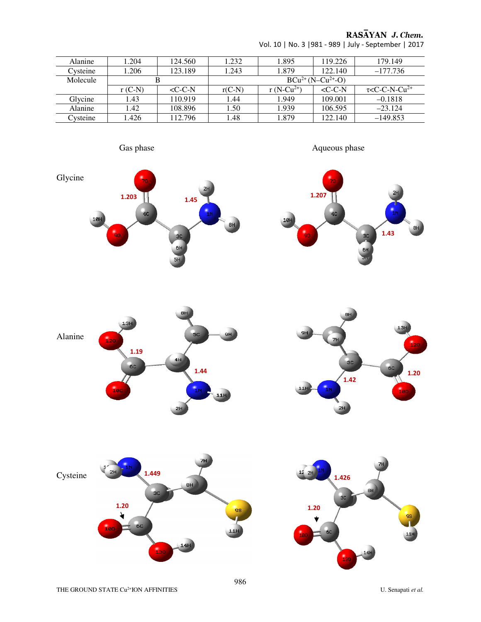## RASĀYAN J. Chem.

| 1.204    | 124.560          | 1.232    | 1.895                    | 119.226         | 179.149                                |  |  |  |
|----------|------------------|----------|--------------------------|-----------------|----------------------------------------|--|--|--|
| 1.206    | 123.189          | 1.243    | 1.879                    | 122.140         | $-177.736$                             |  |  |  |
| В        |                  |          | $BCu^{2+} (N-Cu^{2+}-O)$ |                 |                                        |  |  |  |
| $r(C-N)$ | $\langle C$ -C-N | $r(C-N)$ | r (N-Cu <sup>2+</sup> )  | $\langle C-C-N$ | $\tau$ <c-c-n-cu<sup>2+</c-c-n-cu<sup> |  |  |  |
| 1.43     | 110.919          | 1.44     | 1.949                    | 109.001         | $-0.1818$                              |  |  |  |
| 1.42     | 108.896          | 1.50     | 1.939                    | 106.595         | $-23.124$                              |  |  |  |
| .426     | 112.796          | l.48     | 1.879                    | 122.140         | $-149.853$                             |  |  |  |
|          |                  |          |                          |                 |                                        |  |  |  |

Vol. 10 | No. 3 |981 - 989 | July - September | 2017















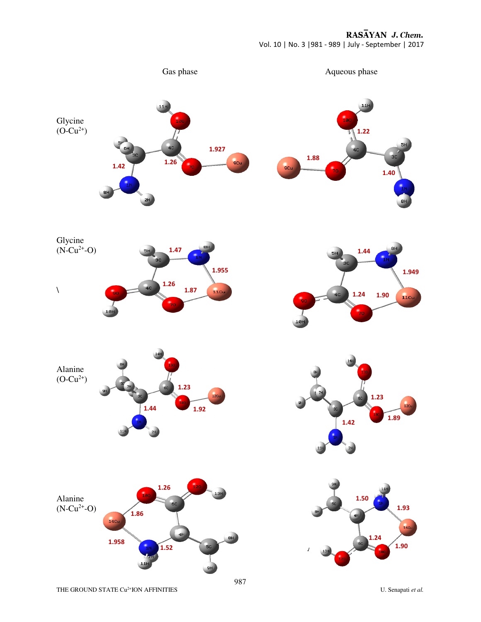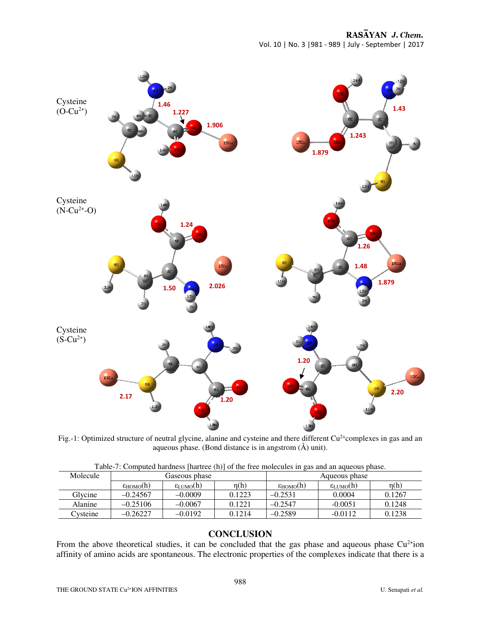

Fig.-1: Optimized structure of neutral glycine, alanine and cysteine and there different  $Cu^{2+}$ complexes in gas and an aqueous phase. (Bond distance is in angstrom (Å) unit).

| $1.001$ . Compared materials function $\{1.7\}$ of the first molecules in |                      |                      |           |                      |                      |           |  |  |  |
|---------------------------------------------------------------------------|----------------------|----------------------|-----------|----------------------|----------------------|-----------|--|--|--|
| Molecule                                                                  | Gaseous phase        |                      |           | Aqueous phase        |                      |           |  |  |  |
|                                                                           | $\epsilon_{HOMO}(h)$ | $\epsilon_{LUMO}(h)$ | $\eta(h)$ | $\epsilon_{HOMO}(h)$ | $\epsilon_{LUMO}(h)$ | $\eta(h)$ |  |  |  |
| Glycine                                                                   | $-0.24567$           | $-0.0009$            | 0.1223    | $-0.2531$            | 0.0004               | 0.1267    |  |  |  |
| Alanine                                                                   | $-0.25106$           | $-0.0067$            | 0.1221    | $-0.2547$            | $-0.0051$            | 0.1248    |  |  |  |
| Cysteine                                                                  | $-0.26227$           | $-0.0192$            | 0.1214    | $-0.2589$            | $-0.0112$            | 0.1238    |  |  |  |

Table-7: Computed hardness [hartree (h)] of the free molecules in gas and an aqueous phase.

#### **CONCLUSION**

From the above theoretical studies, it can be concluded that the gas phase and aqueous phase  $Cu^{2+}$ ion affinity of amino acids are spontaneous. The electronic properties of the complexes indicate that there is a